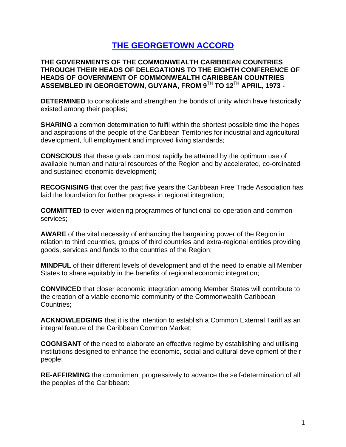# **THE GEORGETOWN ACCORD**

**THE GOVERNMENTS OF THE COMMONWEALTH CARIBBEAN COUNTRIES THROUGH THEIR HEADS OF DELEGATIONS TO THE EIGHTH CONFERENCE OF HEADS OF GOVERNMENT OF COMMONWEALTH CARIBBEAN COUNTRIES ASSEMBLED IN GEORGETOWN, GUYANA, FROM 9TH TO 12TH APRIL, 1973 -**

**DETERMINED** to consolidate and strengthen the bonds of unity which have historically existed among their peoples;

**SHARING** a common determination to fulfil within the shortest possible time the hopes and aspirations of the people of the Caribbean Territories for industrial and agricultural development, full employment and improved living standards;

**CONSCIOUS** that these goals can most rapidly be attained by the optimum use of available human and natural resources of the Region and by accelerated, co-ordinated and sustained economic development;

**RECOGNISING** that over the past five years the Caribbean Free Trade Association has laid the foundation for further progress in regional integration;

**COMMITTED** to ever-widening programmes of functional co-operation and common services;

**AWARE** of the vital necessity of enhancing the bargaining power of the Region in relation to third countries, groups of third countries and extra-regional entities providing goods, services and funds to the countries of the Region;

**MINDFUL** of their different levels of development and of the need to enable all Member States to share equitably in the benefits of regional economic integration;

**CONVINCED** that closer economic integration among Member States will contribute to the creation of a viable economic community of the Commonwealth Caribbean Countries;

**ACKNOWLEDGING** that it is the intention to establish a Common External Tariff as an integral feature of the Caribbean Common Market;

**COGNISANT** of the need to elaborate an effective regime by establishing and utilising institutions designed to enhance the economic, social and cultural development of their people;

**RE-AFFIRMING** the commitment progressively to advance the self-determination of all the peoples of the Caribbean: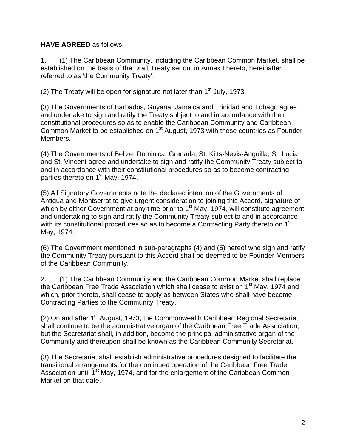## **HAVE AGREED** as follows:

1. (1) The Caribbean Community, including the Caribbean Common Market, shall be established on the basis of the Draft Treaty set out in Annex I hereto, hereinafter referred to as 'the Community Treaty'.

(2) The Treaty will be open for signature not later than  $1<sup>st</sup>$  July, 1973.

(3) The Governments of Barbados, Guyana, Jamaica and Trinidad and Tobago agree and undertake to sign and ratify the Treaty subject to and in accordance with their constitutional procedures so as to enable the Caribbean Community and Caribbean Common Market to be established on 1<sup>st</sup> August, 1973 with these countries as Founder Members.

(4) The Governments of Belize, Dominica, Grenada, St. Kitts-Nevis-Anguilla, St. Lucia and St. Vincent agree and undertake to sign and ratify the Community Treaty subject to and in accordance with their constitutional procedures so as to become contracting parties thereto on 1<sup>st</sup> May, 1974.

(5) All Signatory Governments note the declared intention of the Governments of Antigua and Montserrat to give urgent consideration to joining this Accord, signature of which by either Government at any time prior to 1<sup>st</sup> May, 1974, will constitute agreement and undertaking to sign and ratify the Community Treaty subject to and in accordance with its constitutional procedures so as to become a Contracting Party thereto on 1<sup>st</sup> May, 1974.

(6) The Government mentioned in sub-paragraphs (4) and (5) hereof who sign and ratify the Community Treaty pursuant to this Accord shall be deemed to be Founder Members of the Caribbean Community.

2. (1) The Caribbean Community and the Caribbean Common Market shall replace the Caribbean Free Trade Association which shall cease to exist on 1<sup>st</sup> May, 1974 and which, prior thereto, shall cease to apply as between States who shall have become Contracting Parties to the Community Treaty.

(2) On and after  $1<sup>st</sup>$  August, 1973, the Commonwealth Caribbean Regional Secretariat shall continue to be the administrative organ of the Caribbean Free Trade Association; but the Secretariat shall, in addition, become the principal administrative organ of the Community and thereupon shall be known as the Caribbean Community Secretariat.

(3) The Secretariat shall establish administrative procedures designed to facilitate the transitional arrangements for the continued operation of the Caribbean Free Trade Association until  $1<sup>st</sup>$  May, 1974, and for the enlargement of the Caribbean Common Market on that date.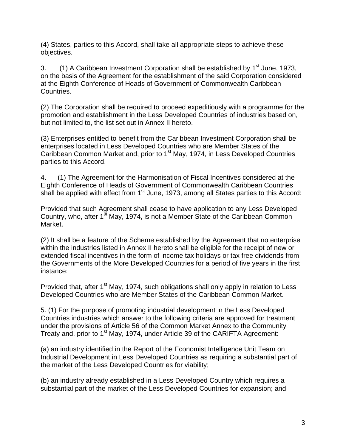(4) States, parties to this Accord, shall take all appropriate steps to achieve these objectives.

3. (1) A Caribbean Investment Corporation shall be established by  $1<sup>st</sup>$  June, 1973, on the basis of the Agreement for the establishment of the said Corporation considered at the Eighth Conference of Heads of Government of Commonwealth Caribbean Countries.

(2) The Corporation shall be required to proceed expeditiously with a programme for the promotion and establishment in the Less Developed Countries of industries based on, but not limited to, the list set out in Annex II hereto.

(3) Enterprises entitled to benefit from the Caribbean Investment Corporation shall be enterprises located in Less Developed Countries who are Member States of the Caribbean Common Market and, prior to 1<sup>st</sup> May, 1974, in Less Developed Countries parties to this Accord.

4. (1) The Agreement for the Harmonisation of Fiscal Incentives considered at the Eighth Conference of Heads of Government of Commonwealth Caribbean Countries shall be applied with effect from 1<sup>st</sup> June, 1973, among all States parties to this Accord:

Provided that such Agreement shall cease to have application to any Less Developed Country, who, after 1<sup>st</sup> May, 1974, is not a Member State of the Caribbean Common Market.

(2) It shall be a feature of the Scheme established by the Agreement that no enterprise within the industries listed in Annex II hereto shall be eligible for the receipt of new or extended fiscal incentives in the form of income tax holidays or tax free dividends from the Governments of the More Developed Countries for a period of five years in the first instance:

Provided that, after 1<sup>st</sup> May, 1974, such obligations shall only apply in relation to Less Developed Countries who are Member States of the Caribbean Common Market.

5. (1) For the purpose of promoting industrial development in the Less Developed Countries industries which answer to the following criteria are approved for treatment under the provisions of Article 56 of the Common Market Annex to the Community Treaty and, prior to 1<sup>st</sup> May, 1974, under Article 39 of the CARIFTA Agreement:

(a) an industry identified in the Report of the Economist Intelligence Unit Team on Industrial Development in Less Developed Countries as requiring a substantial part of the market of the Less Developed Countries for viability;

(b) an industry already established in a Less Developed Country which requires a substantial part of the market of the Less Developed Countries for expansion; and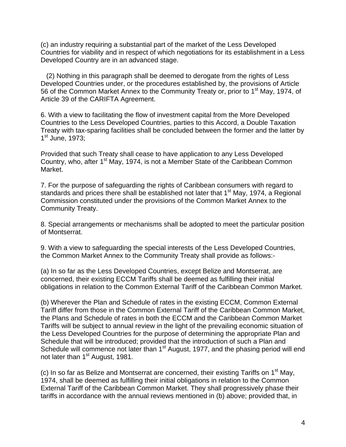(c) an industry requiring a substantial part of the market of the Less Developed Countries for viability and in respect of which negotiations for its establishment in a Less Developed Country are in an advanced stage.

 (2) Nothing in this paragraph shall be deemed to derogate from the rights of Less Developed Countries under, or the procedures established by, the provisions of Article 56 of the Common Market Annex to the Community Treaty or, prior to 1<sup>st</sup> May, 1974, of Article 39 of the CARIFTA Agreement.

6. With a view to facilitating the flow of investment capital from the More Developed Countries to the Less Developed Countries, parties to this Accord, a Double Taxation Treaty with tax-sparing facilities shall be concluded between the former and the latter by 1<sup>st</sup> June, 1973;

Provided that such Treaty shall cease to have application to any Less Developed Country, who, after 1<sup>st</sup> May, 1974, is not a Member State of the Caribbean Common Market.

7. For the purpose of safeguarding the rights of Caribbean consumers with regard to standards and prices there shall be established not later that 1<sup>st</sup> May, 1974, a Regional Commission constituted under the provisions of the Common Market Annex to the Community Treaty.

8. Special arrangements or mechanisms shall be adopted to meet the particular position of Montserrat.

9. With a view to safeguarding the special interests of the Less Developed Countries, the Common Market Annex to the Community Treaty shall provide as follows:-

(a) In so far as the Less Developed Countries, except Belize and Montserrat, are concerned, their existing ECCM Tariffs shall be deemed as fulfilling their initial obligations in relation to the Common External Tariff of the Caribbean Common Market.

(b) Wherever the Plan and Schedule of rates in the existing ECCM, Common External Tariff differ from those in the Common External Tariff of the Caribbean Common Market, the Plans and Schedule of rates in both the ECCM and the Caribbean Common Market Tariffs will be subject to annual review in the light of the prevailing economic situation of the Less Developed Countries for the purpose of determining the appropriate Plan and Schedule that will be introduced; provided that the introduction of such a Plan and Schedule will commence not later than 1<sup>st</sup> August, 1977, and the phasing period will end not later than 1<sup>st</sup> August, 1981.

(c) In so far as Belize and Montserrat are concerned, their existing Tariffs on  $1<sup>st</sup>$  May, 1974, shall be deemed as fulfilling their initial obligations in relation to the Common External Tariff of the Caribbean Common Market. They shall progressively phase their tariffs in accordance with the annual reviews mentioned in (b) above; provided that, in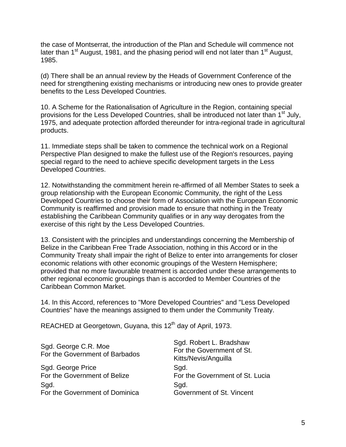the case of Montserrat, the introduction of the Plan and Schedule will commence not later than  $1<sup>st</sup>$  August, 1981, and the phasing period will end not later than  $1<sup>st</sup>$  August, 1985.

(d) There shall be an annual review by the Heads of Government Conference of the need for strengthening existing mechanisms or introducing new ones to provide greater benefits to the Less Developed Countries.

10. A Scheme for the Rationalisation of Agriculture in the Region, containing special provisions for the Less Developed Countries, shall be introduced not later than 1<sup>st</sup> July, 1975, and adequate protection afforded thereunder for intra-regional trade in agricultural products.

11. Immediate steps shall be taken to commence the technical work on a Regional Perspective Plan designed to make the fullest use of the Region's resources, paying special regard to the need to achieve specific development targets in the Less Developed Countries.

12. Notwithstanding the commitment herein re-affirmed of all Member States to seek a group relationship with the European Economic Community, the right of the Less Developed Countries to choose their form of Association with the European Economic Community is reaffirmed and provision made to ensure that nothing in the Treaty establishing the Caribbean Community qualifies or in any way derogates from the exercise of this right by the Less Developed Countries.

13. Consistent with the principles and understandings concerning the Membership of Belize in the Caribbean Free Trade Association, nothing in this Accord or in the Community Treaty shall impair the right of Belize to enter into arrangements for closer economic relations with other economic groupings of the Western Hemisphere; provided that no more favourable treatment is accorded under these arrangements to other regional economic groupings than is accorded to Member Countries of the Caribbean Common Market.

14. In this Accord, references to "More Developed Countries" and "Less Developed Countries" have the meanings assigned to them under the Community Treaty.

REACHED at Georgetown, Guyana, this 12<sup>th</sup> day of April, 1973.

Sgd. George C.R. Moe For the Government of Barbados Sgd. Robert L. Bradshaw For the Government of St. Kitts/Nevis/Anguilla Sgd. George Price For the Government of Belize Sad. For the Government of St. Lucia Sad. For the Government of Dominica Sad. Government of St. Vincent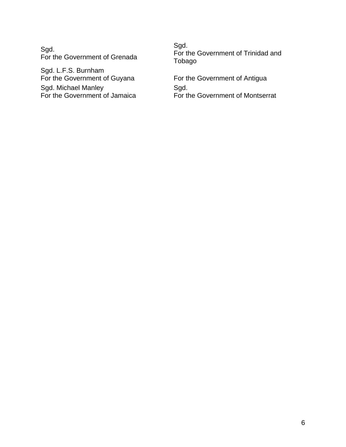Sgd. For the Government of Grenada

Sgd. L.F.S. Burnham For the Government of Guyana Sgd. Michael Manley For the Government of Jamaica Sgd. For the Government of Trinidad and Tobago

For the Government of Antigua Sgd. For the Government of Montserrat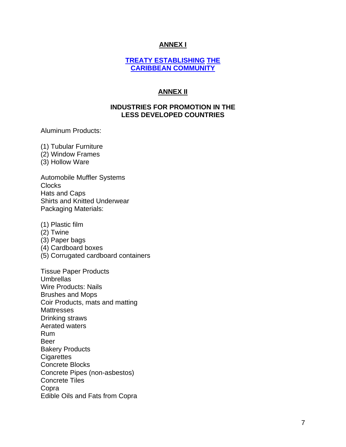## **ANNEX I**

#### **[TREATY ESTABLISHING](http://www.caricom.org/jsp/archives/treaty-caricom.htm) [THE](http://www.caricom.org/jsp/archives/treaty-caricom.htm) [CARIBBEAN COMMUNITY](http://www.caricom.org/jsp/archives/treaty-caricom.htm)**

## **ANNEX II**

### **INDUSTRIES FOR PROMOTION IN THE LESS DEVELOPED COUNTRIES**

Aluminum Products:

(1) Tubular Furniture (2) Window Frames

(3) Hollow Ware

Automobile Muffler Systems **Clocks** Hats and Caps Shirts and Knitted Underwear Packaging Materials:

(1) Plastic film

- (2) Twine
- (3) Paper bags
- (4) Cardboard boxes
- (5) Corrugated cardboard containers

Tissue Paper Products Umbrellas Wire Products: Nails Brushes and Mops Coir Products, mats and matting **Mattresses** Drinking straws Aerated waters Rum Beer Bakery Products **Cigarettes** Concrete Blocks Concrete Pipes (non-asbestos) Concrete Tiles Copra Edible Oils and Fats from Copra